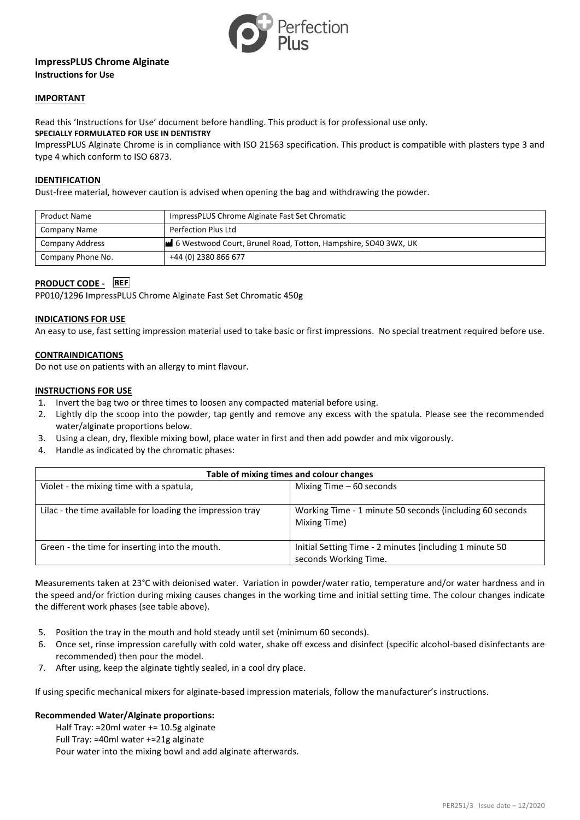

# **ImpressPLUS Chrome Alginate Instructions for Use**

## **IMPORTANT**

Read this 'Instructions for Use' document before handling. This product is for professional use only. **SPECIALLY FORMULATED FOR USE IN DENTISTRY**

ImpressPLUS Alginate Chrome is in compliance with ISO 21563 specification. This product is compatible with plasters type 3 and type 4 which conform to ISO 6873.

#### **IDENTIFICATION**

Dust-free material, however caution is advised when opening the bag and withdrawing the powder.

| <b>Product Name</b> | ImpressPLUS Chrome Alginate Fast Set Chromatic                 |
|---------------------|----------------------------------------------------------------|
| Company Name        | Perfection Plus Ltd                                            |
| Company Address     | 6 Westwood Court, Brunel Road, Totton, Hampshire, SO40 3WX, UK |
| Company Phone No.   | +44 (0) 2380 866 677                                           |

# **PRODUCT CODE -** REF

PP010/1296 ImpressPLUS Chrome Alginate Fast Set Chromatic 450g

#### **INDICATIONS FOR USE**

An easy to use, fast setting impression material used to take basic or first impressions. No special treatment required before use.

## **CONTRAINDICATIONS**

Do not use on patients with an allergy to mint flavour.

## **INSTRUCTIONS FOR USE**

- 1. Invert the bag two or three times to loosen any compacted material before using.
- 2. Lightly dip the scoop into the powder, tap gently and remove any excess with the spatula. Please see the recommended water/alginate proportions below.
- 3. Using a clean, dry, flexible mixing bowl, place water in first and then add powder and mix vigorously.
- 4. Handle as indicated by the chromatic phases:

| Table of mixing times and colour changes                   |                                                                                  |  |
|------------------------------------------------------------|----------------------------------------------------------------------------------|--|
| Violet - the mixing time with a spatula,                   | Mixing Time $-60$ seconds                                                        |  |
| Lilac - the time available for loading the impression tray | Working Time - 1 minute 50 seconds (including 60 seconds)<br>Mixing Time)        |  |
| Green - the time for inserting into the mouth.             | Initial Setting Time - 2 minutes (including 1 minute 50<br>seconds Working Time. |  |

Measurements taken at 23°C with deionised water. Variation in powder/water ratio, temperature and/or water hardness and in the speed and/or friction during mixing causes changes in the working time and initial setting time. The colour changes indicate the different work phases (see table above).

- 5. Position the tray in the mouth and hold steady until set (minimum 60 seconds).
- 6. Once set, rinse impression carefully with cold water, shake off excess and disinfect (specific alcohol-based disinfectants are recommended) then pour the model.
- 7. After using, keep the alginate tightly sealed, in a cool dry place.

If using specific mechanical mixers for alginate-based impression materials, follow the manufacturer's instructions.

#### **Recommended Water/Alginate proportions:**

Half Tray: ≈20ml water +≈ 10.5g alginate Full Tray: ≈40ml water +≈21g alginate Pour water into the mixing bowl and add alginate afterwards.